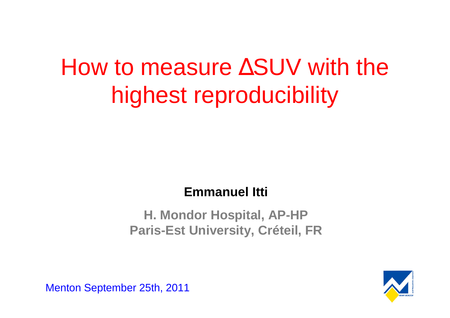# How to measure ∆SUV with the highest reproducibility

#### **Emmanuel Itti**

#### **H. Mondor Hospital, AP-HPParis-Est University, Créteil, FR**



Menton September 25th, 2011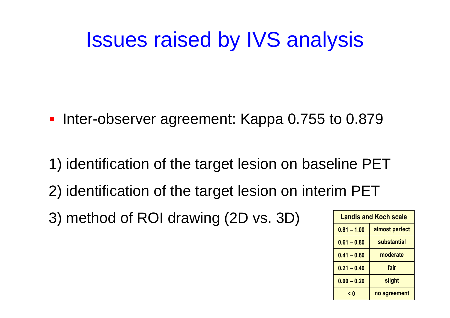# Issues raised by IVS analysis

- Inter-observer agreement: Kappa 0.755 to 0.879
- 1) identification of the target lesion on baseline PET2) identification of the target lesion on interim PET
- 3) method of ROI drawing (2D vs. 3D)

|  | <b>Landis and Koch scale</b> |                |
|--|------------------------------|----------------|
|  | $0.81 - 1.00$                | almost perfect |
|  | $0.61 - 0.80$                | substantial    |
|  | $0.41 - 0.60$                | moderate       |
|  | $0.21 - 0.40$                | fair           |
|  | $0.00 - 0.20$                | slight         |
|  | < 0                          | no agreement   |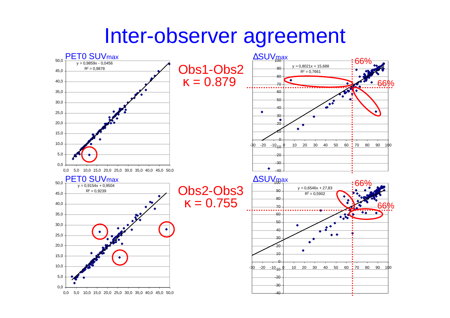## Inter-observer agreement

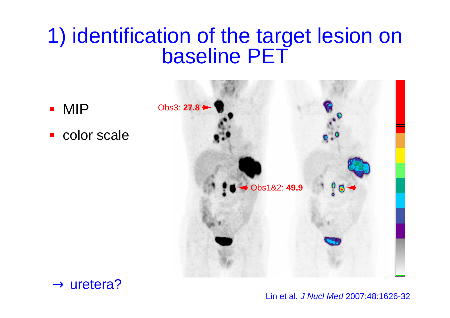# 1) identification of the target lesion on baseline PET



 $\rightarrow$  uretera?

 $\mathbf{r}$ 

Lin et al. J Nucl Med 2007;48:1626-32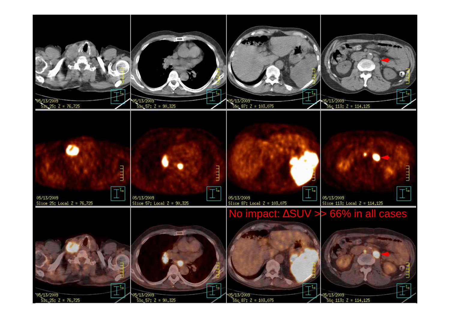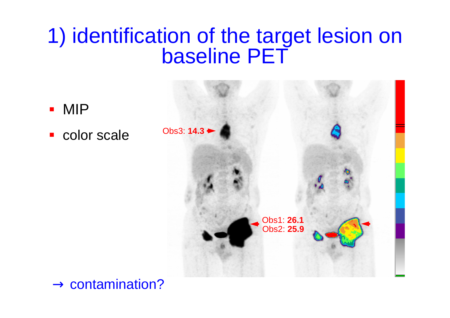# 1) identification of the target lesion on baseline PET



 $\rightarrow$  contamination?

 $\mathcal{L}_{\mathcal{A}}$ 

 $\mathbf{r}$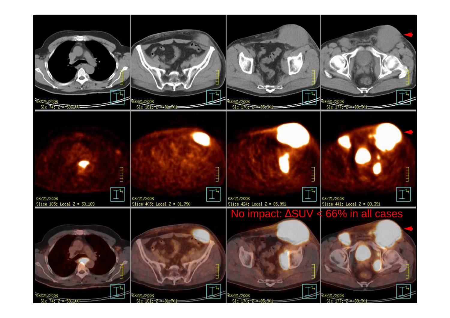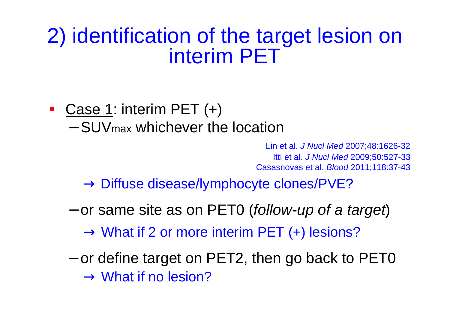### 2) identification of the target lesion on interim PET

### ■ Case 1: interim PET (+)

- SUV<sub>max</sub> whichever the location

Lin et al. J Nucl Med 2007;48:1626-32 Casasnovas et al. Blood 2011;118:37-43 Itti et al. J Nucl Med 2009;50:527-33

 $\rightarrow$  Diffuse disease/lymphocyte clones/PVE?

 $-$  or same site as on PET0 (*follow-up of a target*)

− $\rightarrow$  What if 2 or more interim PET (+) lesions?<br>- or define target on PET2, then go back to PET0  $\rightarrow$  What if no lesion?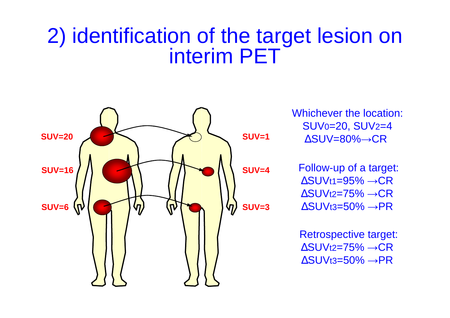# 2) identification of the target lesion on interim PET



Whichever the location:SUV0=20, SUV2=4

Follow-up of a target:∆SUVt1=95% →CR ∆SUVt2=75% →CR∆SUVt3=50% →PR

Retrospective target: $\Delta$ SUVt2=75%  $\rightarrow$ CR ∆SUVt3=50% →PR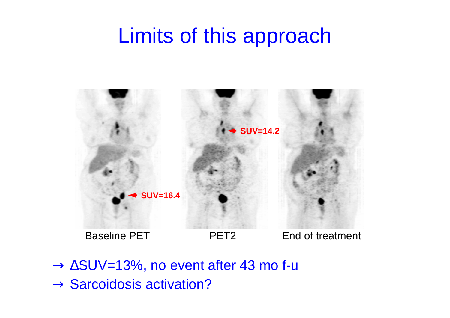# Limits of this approach



 $\rightarrow$  Sarcoidosis activation? <sup>→</sup> <sup>∆</sup>SUV=13%, no event after 43 mo f-u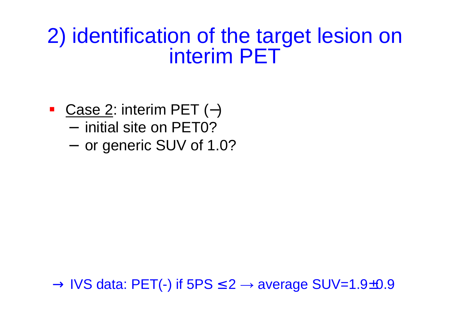### 2) identification of the target lesion on interim PET

- Case 2: interim PET (-)
	- initial site on PET0?
	- $-$  or generic SUV of 1.0?

 $\rightarrow$  IVS data: PET(-) if 5PS  $\leq$  2  $\rightarrow$  average SUV=1.9±0.9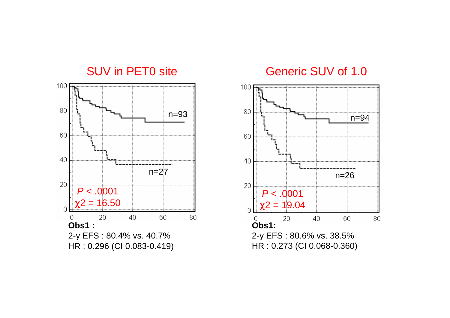

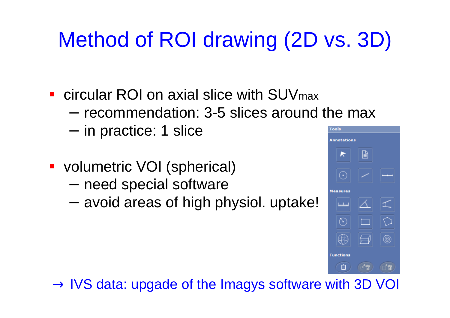# Method of ROI drawing (2D vs. 3D)

- $\mathcal{L}_{\text{max}}$  circular ROI on axial slice with SUVmax
	- recommendation: 3-5 slices around the max
	- $-$  in practice: 1 slice
- volumetric VOI (spherical)
	- need special software
	- − $-$  avoid areas of high physiol. uptake!



 $\rightarrow$  IVS data: upgade of the Imagys software with 3D VOI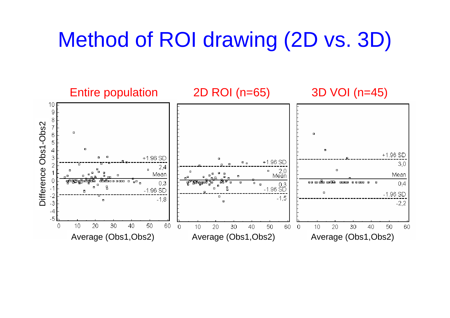# Method of ROI drawing (2D vs. 3D)

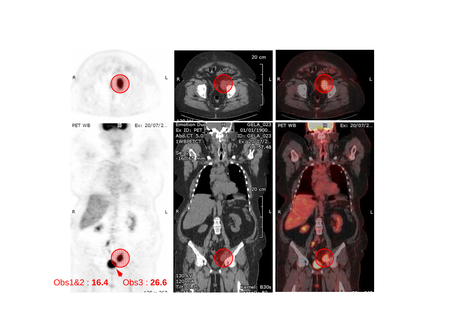